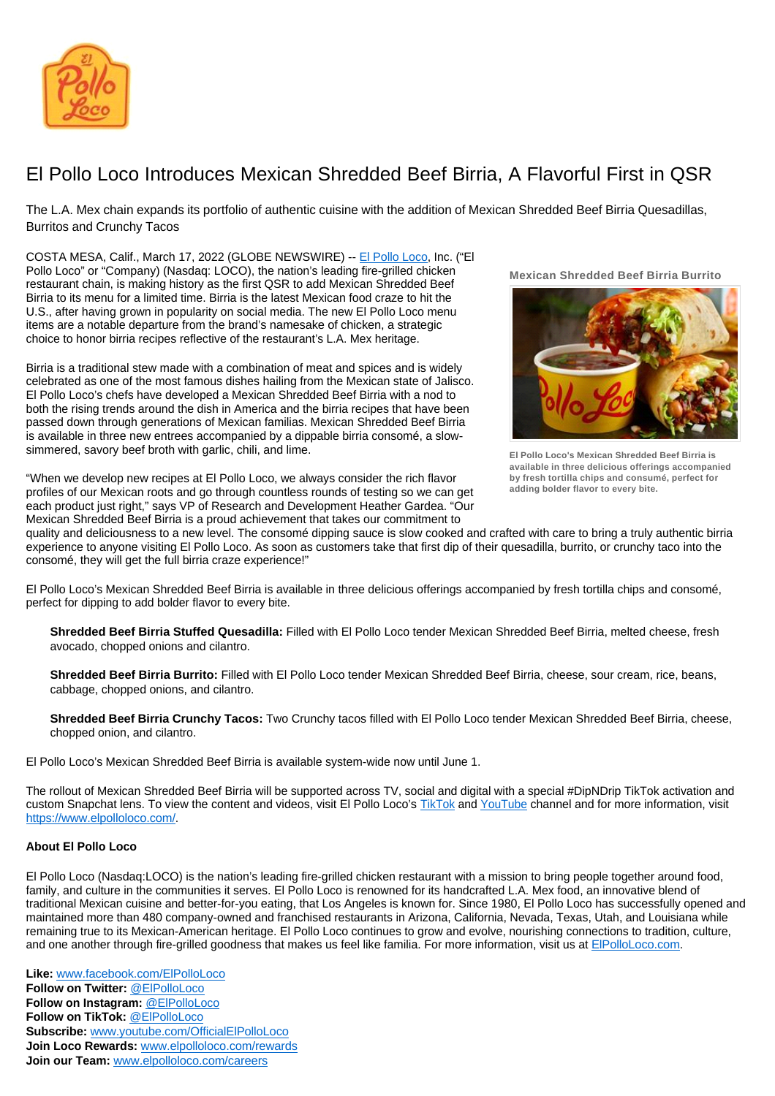

## El Pollo Loco Introduces Mexican Shredded Beef Birria, A Flavorful First in QSR

The L.A. Mex chain expands its portfolio of authentic cuisine with the addition of Mexican Shredded Beef Birria Quesadillas, Burritos and Crunchy Tacos

COSTA MESA, Calif., March 17, 2022 (GLOBE NEWSWIRE) -- [El Pollo Loco](https://www.elpolloloco.com/), Inc. ("El Pollo Loco" or "Company) (Nasdaq: LOCO), the nation's leading fire-grilled chicken restaurant chain, is making history as the first QSR to add Mexican Shredded Beef Birria to its menu for a limited time. Birria is the latest Mexican food craze to hit the U.S., after having grown in popularity on social media. The new El Pollo Loco menu items are a notable departure from the brand's namesake of chicken, a strategic choice to honor birria recipes reflective of the restaurant's L.A. Mex heritage.

Birria is a traditional stew made with a combination of meat and spices and is widely celebrated as one of the most famous dishes hailing from the Mexican state of Jalisco. El Pollo Loco's chefs have developed a Mexican Shredded Beef Birria with a nod to both the rising trends around the dish in America and the birria recipes that have been passed down through generations of Mexican familias. Mexican Shredded Beef Birria is available in three new entrees accompanied by a dippable birria consomé, a slowsimmered, savory beef broth with garlic, chili, and lime.

"When we develop new recipes at El Pollo Loco, we always consider the rich flavor profiles of our Mexican roots and go through countless rounds of testing so we can get each product just right," says VP of Research and Development Heather Gardea. "Our Mexican Shredded Beef Birria is a proud achievement that takes our commitment to

**Mexican Shredded Beef Birria Burrito** 



**El Pollo Loco's Mexican Shredded Beef Birria is available in three delicious offerings accompanied by fresh tortilla chips and consumé, perfect for adding bolder flavor to every bite.**

quality and deliciousness to a new level. The consomé dipping sauce is slow cooked and crafted with care to bring a truly authentic birria experience to anyone visiting El Pollo Loco. As soon as customers take that first dip of their quesadilla, burrito, or crunchy taco into the consomé, they will get the full birria craze experience!"

El Pollo Loco's Mexican Shredded Beef Birria is available in three delicious offerings accompanied by fresh tortilla chips and consomé, perfect for dipping to add bolder flavor to every bite.

**Shredded Beef Birria Stuffed Quesadilla:** Filled with El Pollo Loco tender Mexican Shredded Beef Birria, melted cheese, fresh avocado, chopped onions and cilantro.

**Shredded Beef Birria Burrito:** Filled with El Pollo Loco tender Mexican Shredded Beef Birria, cheese, sour cream, rice, beans, cabbage, chopped onions, and cilantro.

**Shredded Beef Birria Crunchy Tacos:** Two Crunchy tacos filled with El Pollo Loco tender Mexican Shredded Beef Birria, cheese, chopped onion, and cilantro.

El Pollo Loco's Mexican Shredded Beef Birria is available system-wide now until June 1.

The rollout of Mexican Shredded Beef Birria will be supported across TV, social and digital with a special #DipNDrip TikTok activation and custom Snapchat lens. To view the content and videos, visit El Pollo Loco's [TikTok](https://www.tiktok.com/@elpolloloco) and [YouTube](https://www.youtube.com/user/officialelpolloloco) channel and for more information, visit [https://www.elpolloloco.com/.](https://www.elpolloloco.com/)

## **About El Pollo Loco**

El Pollo Loco (Nasdaq:LOCO) is the nation's leading fire-grilled chicken restaurant with a mission to bring people together around food, family, and culture in the communities it serves. El Pollo Loco is renowned for its handcrafted L.A. Mex food, an innovative blend of traditional Mexican cuisine and better-for-you eating, that Los Angeles is known for. Since 1980, El Pollo Loco has successfully opened and maintained more than 480 company-owned and franchised restaurants in Arizona, California, Nevada, Texas, Utah, and Louisiana while remaining true to its Mexican-American heritage. El Pollo Loco continues to grow and evolve, nourishing connections to tradition, culture, and one another through fire-grilled goodness that makes us feel like familia. For more information, visit us at [ElPolloLoco.com.](http://www.elpolloloco.com/)

**Like:** [www.facebook.com/ElPolloLoco](http://www.facebook.com/ElPolloLoco) **Follow on Twitter:** [@ElPolloLoco](https://twitter.com/elpolloloco) **Follow on Instagram:** [@ElPolloLoco](https://www.instagram.com/elpolloloco/) **Follow on TikTok:** [@ElPolloLoco](https://www.tiktok.com/@elpolloloco?source=h5_m) **Subscribe:** [www.youtube.com/OfficialElPolloLoco](http://www.youtube.com/OfficialElPolloLoco) **Join Loco Rewards:** [www.elpolloloco.com/rewards](http://www.elpolloloco.com/rewards) **Join our Team:** [www.elpolloloco.com/careers](http://www.elpolloloco.com/careers)